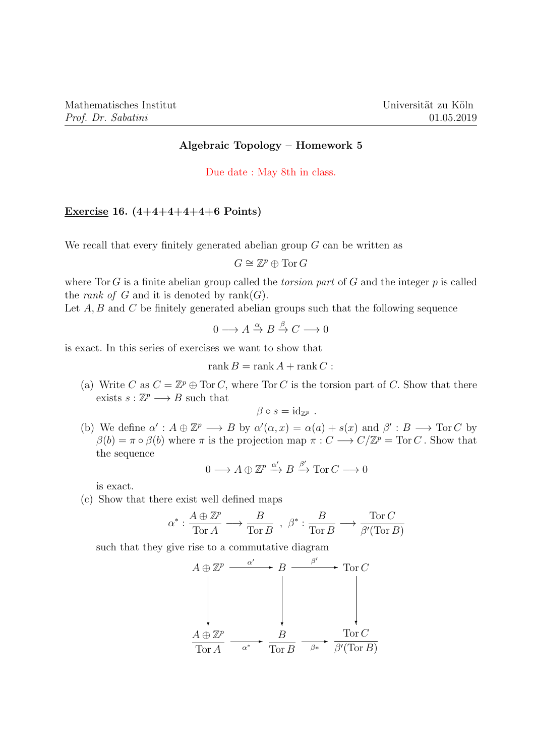## Algebraic Topology – Homework 5

Due date : May 8th in class.

## Exercise 16.  $(4+4+4+4+4+6$  Points)

We recall that every finitely generated abelian group  $G$  can be written as

$$
G \cong \mathbb{Z}^p \oplus \text{Tor } G
$$

where Tor G is a finite abelian group called the *torsion part* of G and the integer  $p$  is called the *rank of*  $G$  and it is denoted by  $rank(G)$ .

Let  $A, B$  and  $C$  be finitely generated abelian groups such that the following sequence

$$
0 \longrightarrow A \xrightarrow{\alpha} B \xrightarrow{\beta} C \longrightarrow 0
$$

is exact. In this series of exercises we want to show that

$$
rank B = rank A + rank C :
$$

(a) Write C as  $C = \mathbb{Z}^p \oplus \text{Tor } C$ , where  $\text{Tor } C$  is the torsion part of C. Show that there exists  $s: \mathbb{Z}^p \longrightarrow B$  such that

$$
\beta \circ s = \mathrm{id}_{\mathbb{Z}^p} .
$$

(b) We define  $\alpha' : A \oplus \mathbb{Z}^p \longrightarrow B$  by  $\alpha'(\alpha, x) = \alpha(a) + s(x)$  and  $\beta' : B \longrightarrow \text{Tor } C$  by  $\beta(b) = \pi \circ \beta(b)$  where  $\pi$  is the projection map  $\pi : C \longrightarrow C/\mathbb{Z}^p = \text{Tor } C$ . Show that the sequence

$$
0 \longrightarrow A \oplus \mathbb{Z}^p \xrightarrow{\alpha'} B \xrightarrow{\beta'} \text{Tor } C \longrightarrow 0
$$

is exact.

(c) Show that there exist well defined maps

$$
\alpha^* : \frac{A \oplus \mathbb{Z}^p}{\text{Tor } A} \longrightarrow \frac{B}{\text{Tor } B} , \ \beta^* : \frac{B}{\text{Tor } B} \longrightarrow \frac{\text{Tor } C}{\beta'(\text{Tor } B)}
$$

such that they give rise to a commutative diagram

$$
A \oplus \mathbb{Z}^p \xrightarrow{\alpha'} B \xrightarrow{\beta'} \operatorname{Tor} C
$$
\n
$$
\xrightarrow{A \oplus \mathbb{Z}^p} \xrightarrow{\alpha^*} \frac{B}{\operatorname{Tor} B} \xrightarrow{\beta^*} \frac{\operatorname{Tor} C}{\beta'(\operatorname{Tor} B)}
$$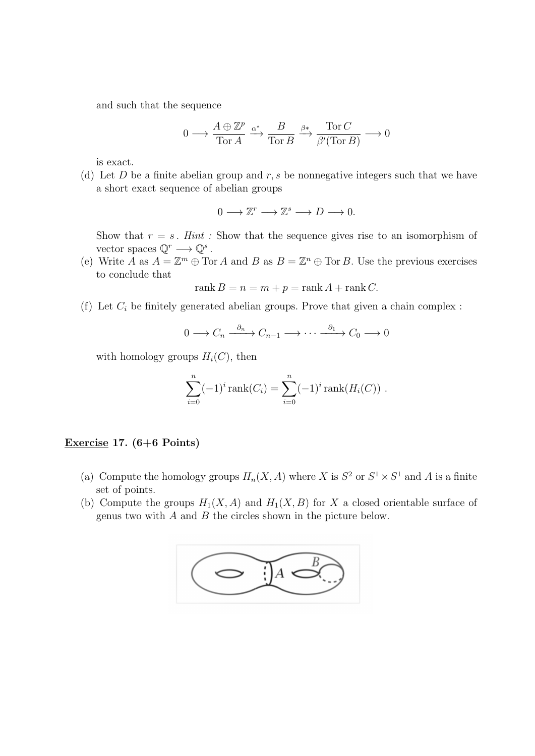and such that the sequence

$$
0 \longrightarrow \frac{A \oplus \mathbb{Z}^p}{\text{Tor } A} \xrightarrow{\alpha^*} \frac{B}{\text{Tor } B} \xrightarrow{\beta^*} \frac{\text{Tor } C}{\beta'(\text{Tor } B)} \longrightarrow 0
$$

is exact.

(d) Let  $D$  be a finite abelian group and  $r, s$  be nonnegative integers such that we have a short exact sequence of abelian groups

 $0 \longrightarrow \mathbb{Z}^r \longrightarrow \mathbb{Z}^s \longrightarrow D \longrightarrow 0.$ 

Show that  $r = s$ . Hint: Show that the sequence gives rise to an isomorphism of vector spaces  $\mathbb{Q}^r \longrightarrow \mathbb{Q}^s$ .

(e) Write A as  $A = \mathbb{Z}^m \oplus \text{Tor } A$  and B as  $B = \mathbb{Z}^n \oplus \text{Tor } B$ . Use the previous exercises to conclude that

$$
rank B = n = m + p = rank A + rank C.
$$

(f) Let  $C_i$  be finitely generated abelian groups. Prove that given a chain complex :

$$
0 \longrightarrow C_n \xrightarrow{\partial_n} C_{n-1} \longrightarrow \cdots \xrightarrow{\partial_1} C_0 \longrightarrow 0
$$

with homology groups  $H_i(C)$ , then

$$
\sum_{i=0}^{n} (-1)^{i} \operatorname{rank}(C_{i}) = \sum_{i=0}^{n} (-1)^{i} \operatorname{rank}(H_{i}(C)).
$$

## Exercise 17.  $(6+6$  Points)

- (a) Compute the homology groups  $H_n(X, A)$  where X is  $S^2$  or  $S^1 \times S^1$  and A is a finite set of points.
- (b) Compute the groups  $H_1(X, A)$  and  $H_1(X, B)$  for X a closed orientable surface of genus two with  $A$  and  $B$  the circles shown in the picture below.